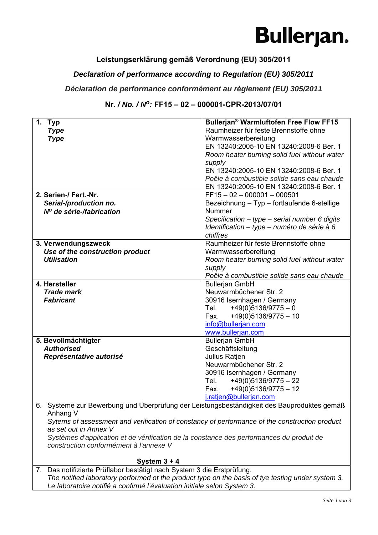### **Bullerjan.**

#### **Leistungserklärung gemäß Verordnung (EU) 305/2011**

#### *Declaration of performance according to Regulation (EU) 305/2011*

#### *Déclaration de performance conformément au règlement (EU) 305/2011*

#### **Nr.** */ No. / No:* **FF15 – 02 – 000001-CPR-2013/07/01**

| 1.<br><b>Typ</b>                                                                                                                   | Bullerjan <sup>®</sup> Warmluftofen Free Flow FF15 |  |
|------------------------------------------------------------------------------------------------------------------------------------|----------------------------------------------------|--|
| <b>Type</b>                                                                                                                        | Raumheizer für feste Brennstoffe ohne              |  |
| <b>Type</b>                                                                                                                        | Warmwasserbereitung                                |  |
|                                                                                                                                    | EN 13240:2005-10 EN 13240:2008-6 Ber. 1            |  |
|                                                                                                                                    | Room heater burning solid fuel without water       |  |
|                                                                                                                                    | supply                                             |  |
|                                                                                                                                    | EN 13240:2005-10 EN 13240:2008-6 Ber. 1            |  |
|                                                                                                                                    | Poêle à combustible solide sans eau chaude         |  |
|                                                                                                                                    | EN 13240:2005-10 EN 13240:2008-6 Ber. 1            |  |
| 2. Serien-/ Fert.-Nr.                                                                                                              | $FF15 - 02 - 000001 - 000501$                      |  |
| Serial-/production no.                                                                                                             | Bezeichnung - Typ - fortlaufende 6-stellige        |  |
| Nº de série-/fabrication                                                                                                           | Nummer                                             |  |
|                                                                                                                                    | Specification $-$ type $-$ serial number 6 digits  |  |
|                                                                                                                                    | Identification - type - numéro de série à 6        |  |
|                                                                                                                                    | chiffres                                           |  |
| 3. Verwendungszweck                                                                                                                | Raumheizer für feste Brennstoffe ohne              |  |
| Use of the construction product                                                                                                    | Warmwasserbereitung                                |  |
| <b>Utilisation</b>                                                                                                                 | Room heater burning solid fuel without water       |  |
|                                                                                                                                    | supply                                             |  |
|                                                                                                                                    | Poêle à combustible solide sans eau chaude         |  |
| 4. Hersteller                                                                                                                      | <b>Bullerjan GmbH</b>                              |  |
| <b>Trade mark</b>                                                                                                                  | Neuwarmbüchener Str. 2                             |  |
| <b>Fabricant</b>                                                                                                                   | 30916 Isernhagen / Germany                         |  |
|                                                                                                                                    | Tel. $+49(0)5136/9775-0$                           |  |
|                                                                                                                                    | +49(0)5136/9775 - 10<br>Fax.                       |  |
|                                                                                                                                    | info@bullerjan.com                                 |  |
|                                                                                                                                    | www.bullerjan.com                                  |  |
| 5. Bevollmächtigter                                                                                                                | <b>Bullerjan GmbH</b>                              |  |
| <b>Authorised</b>                                                                                                                  | Geschäftsleitung                                   |  |
| Représentative autorisé                                                                                                            | Julius Ratjen                                      |  |
|                                                                                                                                    | Neuwarmbüchener Str. 2                             |  |
|                                                                                                                                    | 30916 Isernhagen / Germany                         |  |
|                                                                                                                                    | $+49(0)5136/9775 - 22$<br>Tel.                     |  |
|                                                                                                                                    | $+49(0)5136/9775 - 12$<br>Fax.                     |  |
|                                                                                                                                    | j.ratjen@bullerjan.com                             |  |
| 6. Systeme zur Bewerbung und Überprüfung der Leistungsbeständigkeit des Bauproduktes gemäß                                         |                                                    |  |
| Anhang V<br>Sytems of assessment and verification of constancy of performance of the construction product                          |                                                    |  |
| as set out in Annex V                                                                                                              |                                                    |  |
|                                                                                                                                    |                                                    |  |
| Systèmes d'application et de vérification de la constance des performances du produit de<br>construction conformément à l'annexe V |                                                    |  |
|                                                                                                                                    |                                                    |  |
| System $3 + 4$                                                                                                                     |                                                    |  |
| 7. Das notifizierte Prüflabor bestätigt nach System 3 die Erstprüfung.                                                             |                                                    |  |

*The notified laboratory performed ot the product type on the basis of tye testing under system 3. Le laboratoire notifié a confirmé l'évaluation initiale selon System 3.*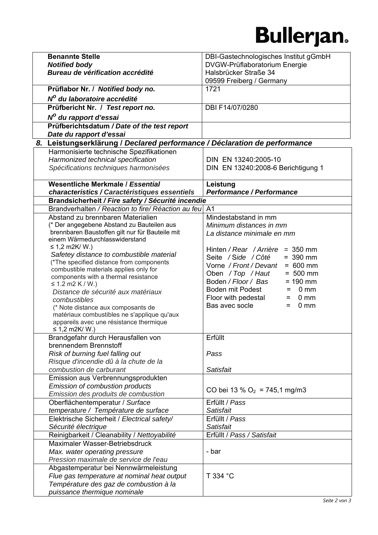## **Bullerjan.**

| <b>Benannte Stelle</b>                                                                             | DBI-Gastechnologisches Institut gGmbH          |
|----------------------------------------------------------------------------------------------------|------------------------------------------------|
| <b>Notified body</b>                                                                               | DVGW-Prüflaboratorium Energie                  |
| Bureau de vérification accrédité                                                                   | Halsbrücker Straße 34                          |
|                                                                                                    | 09599 Freiberg / Germany                       |
| Prüflabor Nr. / Notified body no.                                                                  | 1721                                           |
| Nº du laboratoire accrédité                                                                        |                                                |
| Prüfbericht Nr. / Test report no.                                                                  | DBI F14/07/0280                                |
| N <sup>o</sup> du rapport d'essai                                                                  |                                                |
| Prüfberichtsdatum / Date of the test report                                                        |                                                |
| Date du rapport d'essai                                                                            |                                                |
| 8. Leistungserklärung / Declared performance / Déclaration de performance                          |                                                |
| Harmonisierte technische Spezifikationen                                                           |                                                |
| Harmonized technical specification                                                                 | DIN EN 13240:2005-10                           |
| Spécifications techniques harmonisées                                                              | DIN EN 13240:2008-6 Berichtigung 1             |
|                                                                                                    |                                                |
| Wesentliche Merkmale / Essential                                                                   | Leistung<br><b>Performance / Performance</b>   |
| characteristics / Caractéristiques essentiels<br>Brandsicherheit / Fire safety / Sécurité incendie |                                                |
| Brandverhalten / Reaction to fire/ Réaction au feu                                                 | A <sub>1</sub>                                 |
| Abstand zu brennbaren Materialien                                                                  | Mindestabstand in mm                           |
| (* Der angegebene Abstand zu Bauteilen aus                                                         | Minimum distances in mm                        |
| brennbaren Baustoffen gilt nur für Bauteile mit                                                    | La distance minimale en mm                     |
| einem Wärmedurchlasswiderstand                                                                     |                                                |
| ≤ 1,2 m2K/ W.)                                                                                     | Hinten / Rear / Arrière = 350 mm               |
| Safetey distance to combustible material                                                           | Seite / Side / Côté<br>$= 390$ mm              |
| (*The specified distance from components                                                           | Vorne / Front / Devant<br>$= 600$ mm           |
| combustible materials applies only for<br>components with a thermal resistance                     | Oben / Top / Haut<br>$= 500$ mm                |
| ≤ 1.2 m2 K / W.)                                                                                   | Boden / Floor / Bas<br>$= 190$ mm              |
| Distance de sécurité aux matériaux                                                                 | Boden mit Podest<br>0 <sub>mm</sub><br>=       |
| combustibles                                                                                       | Floor with pedestal<br>$0 \, \text{mm}$<br>$=$ |
| (* Note distance aux composants de                                                                 | Bas avec socle<br>$0 \text{ mm}$<br>$=$        |
| matériaux combustibles ne s'applique qu'aux                                                        |                                                |
| appareils avec une résistance thermique                                                            |                                                |
| ≤ 1,2 m2K/ W.)<br>Brandgefahr durch Herausfallen von                                               | Erfüllt                                        |
| brennendem Brennstoff                                                                              |                                                |
| Risk of burning fuel falling out                                                                   | Pass                                           |
| Risque d'incendie dû à la chute de la                                                              |                                                |
| combustion de carburant                                                                            | Satisfait                                      |
| Emission aus Verbrennungsprodukten                                                                 |                                                |
| Emission of combustion products                                                                    | CO bei 13 % O <sub>2</sub> = 745,1 mg/m3       |
| Emission des produits de combustion                                                                |                                                |
| Oberflächentemperatur / Surface                                                                    | Erfüllt / Pass                                 |
| temperature / Température de surface                                                               | Satisfait                                      |
| Elektrische Sicherheit / Electrical safety/                                                        | Erfüllt / Pass                                 |
| Sécurité électrique                                                                                | Satisfait                                      |
| Reinigbarkeit / Cleanability / Nettoyabilité                                                       | Erfüllt / Pass / Satisfait                     |
| Maximaler Wasser-Betriebsdruck                                                                     |                                                |
| Max. water operating pressure                                                                      | - bar                                          |
| Pression maximale de service de l'eau                                                              |                                                |
| Abgastemperatur bei Nennwärmeleistung                                                              | T 334 °C                                       |
| Flue gas temperature at nominal heat output<br>Température des gaz de combustion à la              |                                                |
| puissance thermique nominale                                                                       |                                                |
|                                                                                                    |                                                |